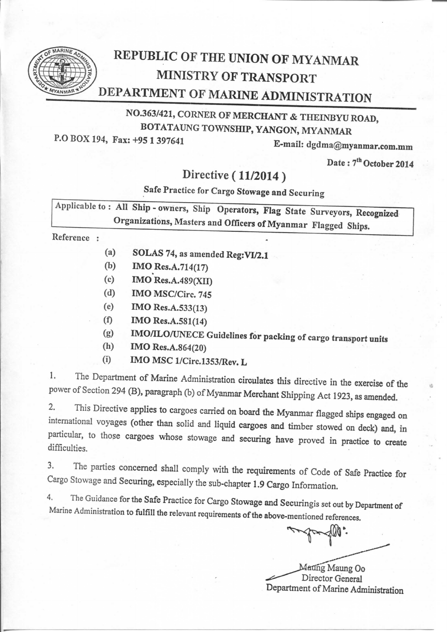

## REPUBLIC OF THE UNION OF MYANMAR MINISTRY OF TRANSPORT DEPARTMENT OF MARINE ADMINISTRATION

## NO.363/421, CORNER OF MERCHANT & THEINBYU ROAD, BOTATAUNG TOWNSHIP, YANGON, MYANMAR

P.O BOX 194, Fax: +95 1 397641

E・mail: dgdma@myanmar.com.mm

Date: 7<sup>th</sup> October 2014

## Directive (11/2014)

Safe Practice for Cargo Stowage and Securing

Applicable to: All Ship - owners, Ship Operators, Flag State Surveyors, Recognized Organizations, Masters and Officers of Myanmar Flagged Ships.

Reference :

- (a) SOLAS 74, as amended  $Reg:V1/2.1$
- (b) IMO Res.A.714(17)
- (c)  $IMO$  Res.A.489(XII)
- (d) IMOMSC/Circ.745
- (e) IMO Res.A.533(13)
- $(f)$  IMO Res. A.581(14)
- (g) IMO/ILO/UNECE Guidelines for packing of cargo transport units
- (h) IMO Res.A.864 $(20)$
- $(i)$  IMO MSC 1/Circ.1353/Rev. L

1. The Department of Marine Administration circulates this directive in the exercise of the power of Section 294 (B), paragraph (b) of Myanmar Merchant Shipping Act 1923, as amended.

2. This Directive applies to cargoes carried on board the Myanmar flagged ships engaged on international voyages (other than solid and liquid cargoes and timber stowed on deck) and, in particular, to those cargoes whose stowage and securing have proved in practice to create difficulties.

3. The parties concerned shall comply with the requirements of Code of Safe Practice for Cargo Stowage and Securing, especially the sub-chapter 1.9 Cargo Information.

4. The Guidance for the Safe Practice for Cargo Stowage and Securingis set out by Department of Marine Administration to fulfill the relevant requirements of the above-mentioned references.

Matting Maung Oo<br>Director General<br>Department of Marine Administration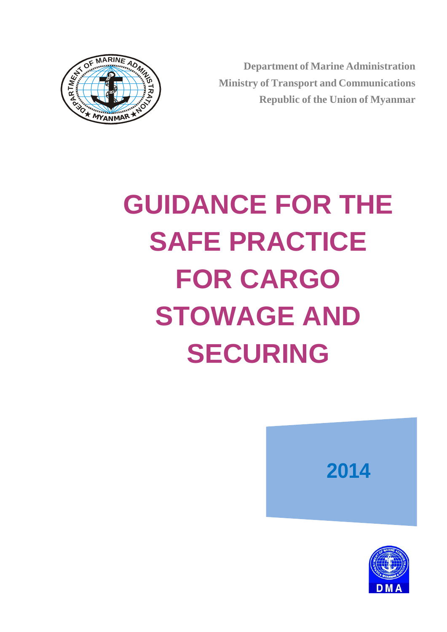



# **GUIDANCE FOR THE SAFE PRACTICE FOR CARGO STOWAGE AND SECURING**



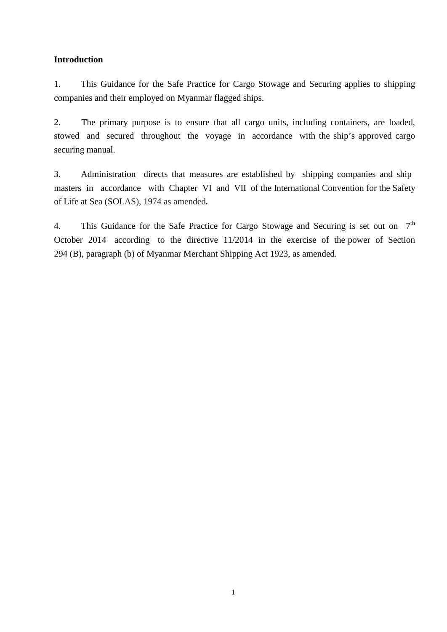#### **Introduction**

1. This Guidance for the Safe Practice for Cargo Stowage and Securing applies to shipping companies and their employed on Myanmar flagged ships.

2. The primary purpose is to ensure that all cargo units, including containers, are loaded, stowed and secured throughout the voyage in accordance with the ship's approved cargo securing manual.

3. Administration directs that measures are established by shipping companies and ship masters in accordance with Chapter VI and VII of the International Convention for the Safety of Life at Sea (SOLAS), 1974 as amended*.*

4. This Guidance for the Safe Practice for Cargo Stowage and Securing is set out on 7<sup>th</sup> October 2014 according to the directive 11/2014 in the exercise of the power of Section 294 (B), paragraph (b) of Myanmar Merchant Shipping Act 1923, as amended.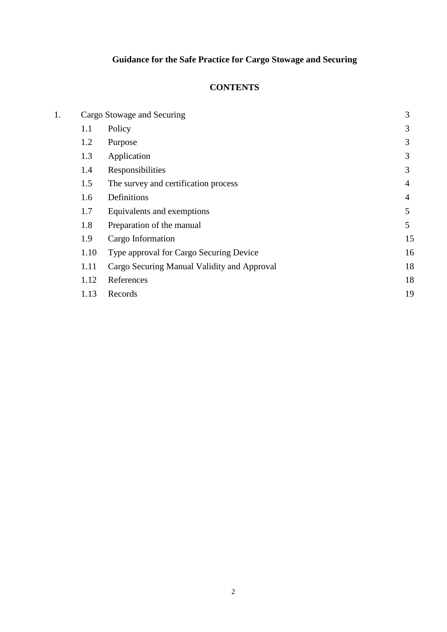## **Guidance for the Safe Practice for Cargo Stowage and Securing**

#### **CONTENTS**

| 3  |
|----|
| 3  |
| 3  |
| 3  |
| 3  |
| 4  |
| 4  |
| 5  |
| 5  |
| 15 |
| 16 |
| 18 |
| 18 |
| 19 |
|    |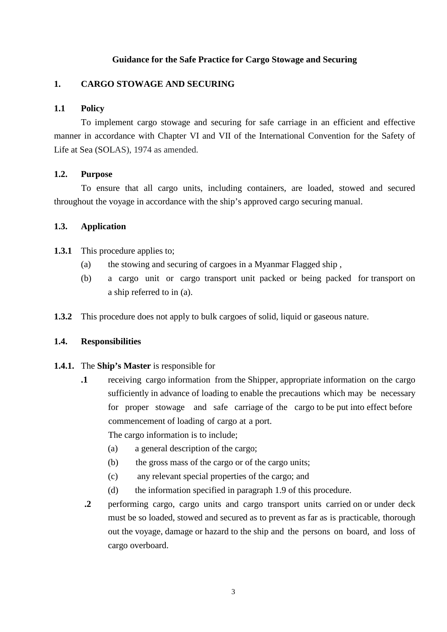#### **Guidance for the Safe Practice for Cargo Stowage and Securing**

#### **1. CARGO STOWAGE AND SECURING**

#### **1.1 Policy**

To implement cargo stowage and securing for safe carriage in an efficient and effective manner in accordance with Chapter VI and VII of the International Convention for the Safety of Life at Sea (SOLAS), 1974 as amended.

#### **1.2. Purpose**

To ensure that all cargo units, including containers, are loaded, stowed and secured throughout the voyage in accordance with the ship's approved cargo securing manual.

#### **1.3. Application**

- **1.3.1** This procedure applies to;
	- (a) the stowing and securing of cargoes in a Myanmar Flagged ship ,
	- (b) a cargo unit or cargo transport unit packed or being packed for transport on a ship referred to in (a).
- **1.3.2** This procedure does not apply to bulk cargoes of solid, liquid or gaseous nature.

#### **1.4. Responsibilities**

#### **1.4.1.** The **Ship's Master** is responsible for

**.1** receiving cargo information from the Shipper, appropriate information on the cargo sufficiently in advance of loading to enable the precautions which may be necessary for proper stowage and safe carriage of the cargo to be put into effect before commencement of loading of cargo at a port.

The cargo information is to include;

- (a) a general description of the cargo;
- (b) the gross mass of the cargo or of the cargo units;
- (c) any relevant special properties of the cargo; and
- (d) the information specified in paragraph 1.9 of this procedure.
- **.2** performing cargo, cargo units and cargo transport units carried on or under deck must be so loaded, stowed and secured as to prevent as far as is practicable, thorough out the voyage, damage or hazard to the ship and the persons on board, and loss of cargo overboard.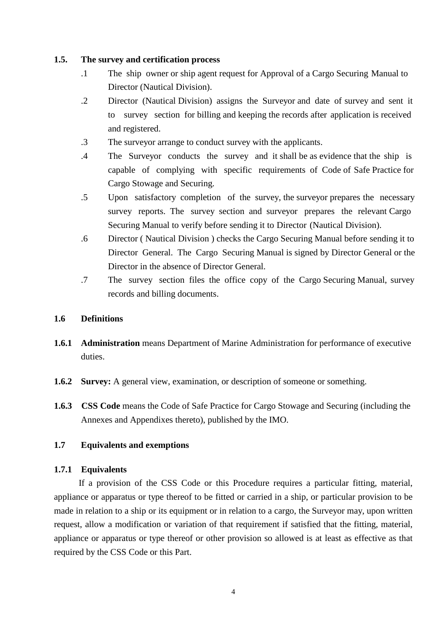#### **1.5. The survey and certification process**

- .1 The ship owner or ship agent request for Approval of a Cargo Securing Manual to Director (Nautical Division).
- .2 Director (Nautical Division) assigns the Surveyor and date of survey and sent it to survey section for billing and keeping the records after application is received and registered.
- .3 The surveyor arrange to conduct survey with the applicants.
- .4 The Surveyor conducts the survey and it shall be as evidence that the ship is capable of complying with specific requirements of Code of Safe Practice for Cargo Stowage and Securing.
- .5 Upon satisfactory completion of the survey, the surveyor prepares the necessary survey reports. The survey section and surveyor prepares the relevant Cargo Securing Manual to verify before sending it to Director (Nautical Division).
- .6 Director ( Nautical Division ) checks the Cargo Securing Manual before sending it to Director General. The Cargo Securing Manual is signed by Director General or the Director in the absence of Director General.
- .7 The survey section files the office copy of the Cargo Securing Manual, survey records and billing documents.

#### **1.6 Definitions**

- **1.6.1 Administration** means Department of Marine Administration for performance of executive duties.
- **1.6.2 Survey:** A general view, examination, or description of someone or something.
- **1.6.3 CSS Code** means the Code of Safe Practice for Cargo Stowage and Securing (including the Annexes and Appendixes thereto), published by the IMO.

#### **1.7 Equivalents and exemptions**

#### **1.7.1 Equivalents**

 If a provision of the CSS Code or this Procedure requires a particular fitting, material, appliance or apparatus or type thereof to be fitted or carried in a ship, or particular provision to be made in relation to a ship or its equipment or in relation to a cargo, the Surveyor may, upon written request, allow a modification or variation of that requirement if satisfied that the fitting, material, appliance or apparatus or type thereof or other provision so allowed is at least as effective as that required by the CSS Code or this Part.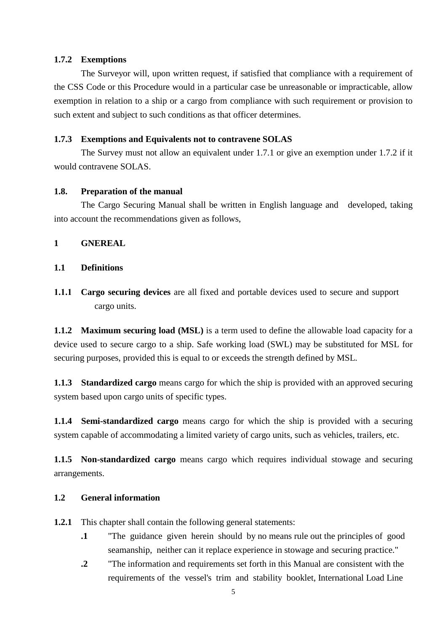#### **1.7.2 Exemptions**

The Surveyor will, upon written request, if satisfied that compliance with a requirement of the CSS Code or this Procedure would in a particular case be unreasonable or impracticable, allow exemption in relation to a ship or a cargo from compliance with such requirement or provision to such extent and subject to such conditions as that officer determines.

#### **1.7.3 Exemptions and Equivalents not to contravene SOLAS**

The Survey must not allow an equivalent under 1.7.1 or give an exemption under 1.7.2 if it would contravene SOLAS.

#### **1.8. Preparation of the manual**

The Cargo Securing Manual shall be written in English language and developed, taking into account the recommendations given as follows,

#### **1 GNEREAL**

#### **1.1 Definitions**

**1.1.1 Cargo securing devices** are all fixed and portable devices used to secure and support cargo units.

**1.1.2 Maximum securing load (MSL)** is a term used to define the allowable load capacity for a device used to secure cargo to a ship. Safe working load (SWL) may be substituted for MSL for securing purposes, provided this is equal to or exceeds the strength defined by MSL.

**1.1.3 Standardized cargo** means cargo for which the ship is provided with an approved securing system based upon cargo units of specific types.

**1.1.4 Semi-standardized cargo** means cargo for which the ship is provided with a securing system capable of accommodating a limited variety of cargo units, such as vehicles, trailers, etc.

**1.1.5 Non-standardized cargo** means cargo which requires individual stowage and securing arrangements.

#### **1.2 General information**

**1.2.1** This chapter shall contain the following general statements:

- **.1** "The guidance given herein should by no means rule out the principles of good seamanship, neither can it replace experience in stowage and securing practice."
- **.2** "The information and requirements set forth in this Manual are consistent with the requirements of the vessel's trim and stability booklet, International Load Line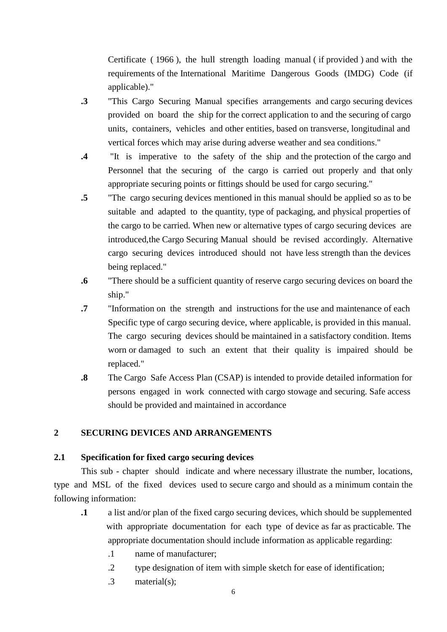Certificate ( 1966 ), the hull strength loading manual ( if provided ) and with the requirements of the International Maritime Dangerous Goods (IMDG) Code (if applicable)."

- **.3** "This Cargo Securing Manual specifies arrangements and cargo securing devices provided on board the ship for the correct application to and the securing of cargo units, containers, vehicles and other entities, based on transverse, longitudinal and vertical forces which mayarise during adverse weather and sea conditions."
- **.4** "It is imperative to the safety of the ship and the protection of the cargo and Personnel that the securing of the cargo is carried out properly and that only appropriate securing points or fittings should be used for cargosecuring."
- **.5** "The cargo securing devices mentioned in this manual should be applied so as to be suitable and adapted to the quantity, type of packaging, and physical properties of the cargo to be carried. When new or alternative types of cargo securing devices are introduced, the Cargo Securing Manual should be revised accordingly. Alternative cargo securing devices introduced should not have less strength than the devices being replaced."
- **.6** "There should be a sufficient quantity of reserve cargo securing devices on board the ship."
- **.7** "Information on the strength and instructions for the use and maintenance of each Specific type of cargo securing device, where applicable, is provided in this manual. The cargo securing devices should be maintained in a satisfactory condition. Items worn or damaged to such an extent that their quality is impaired should be replaced."
- **.8** The Cargo Safe Access Plan (CSAP) is intended to provide detailed information for persons engaged in work connected with cargo stowage and securing. Safe access should be provided and maintained in accordance

#### **2 SECURING DEVICES AND ARRANGEMENTS**

#### **2.1 Specification for fixed cargo securing devices**

This sub - chapter should indicate and where necessary illustrate the number, locations, type and MSL of the fixed devices used to secure cargo and should as a minimum contain the following information:

- **.1** a list and/or plan of the fixed cargo securing devices, which should be supplemented with appropriate documentation for each type of device as far as practicable. The appropriate documentation should include information as applicable regarding:
	- .1 name of manufacturer;
	- .2 type designation of item with simple sketch for ease of identification;
	- .3 material(s);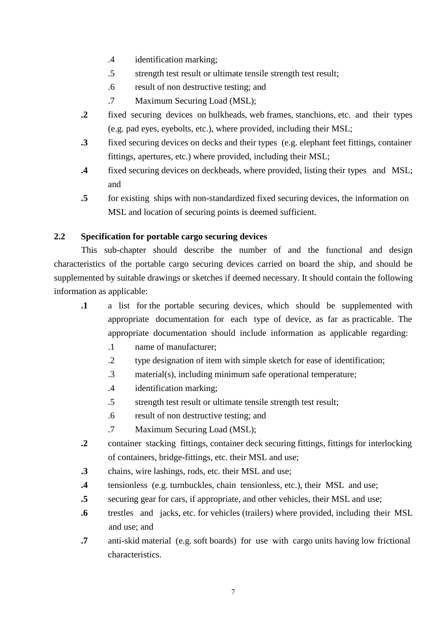- .4 identification marking;
- .5 strength test result or ultimate tensile strength test result;
- .6 result of non destructive testing; and
- .7 Maximum Securing Load (MSL);
- **.2** fixed securing devices on bulkheads, web frames, stanchions, etc. and their types (e.g. pad eyes, eyebolts, etc.), where provided, including their MSL;
- **.3** fixed securing devices on decks and their types (e.g. elephant feet fittings, container fittings, apertures, etc.) where provided, including their MSL;
- **.4** fixed securing devices on deckheads, where provided, listing their types and MSL; and
- **.5** for existing ships with non-standardized fixed securing devices, the information on MSL and location of securing points is deemed sufficient.

#### **2.2 Specification for portable cargo securing devices**

This sub-chapter should describe the number of and the functional and design characteristics of the portable cargo securing devices carried on board the ship, and should be supplemented by suitable drawings or sketches if deemed necessary. It should contain the following information as applicable:

- **.1** a list for the portable securing devices, which should be supplemented with appropriate documentation for each type of device, as far as practicable. The appropriate documentation should include information as applicable regarding:
	- .1 name of manufacturer;
	- .2 type designation of item with simple sketch for ease of identification;
	- .3 material(s), including minimum safe operational temperature;
	- .4 identification marking;
	- .5 strength test result or ultimate tensile strength test result;
	- .6 result of non destructive testing; and
	- .7 Maximum Securing Load (MSL);
- **.2** container stacking fittings, container deck securing fittings, fittings for interlocking of containers, bridge-fittings, etc. their MSL and use;
- **.3** chains, wire lashings, rods, etc. their MSL and use;
- **.4** tensionless (e.g. turnbuckles, chain tensionless, etc.), their MSL and use;
- **.5** securing gear for cars, if appropriate, and other vehicles, their MSL and use;
- **.6** trestles and jacks, etc. for vehicles (trailers) where provided, including their MSL and use; and
- **.7** anti-skid material (e.g. soft boards) for use with cargo units having low frictional characteristics.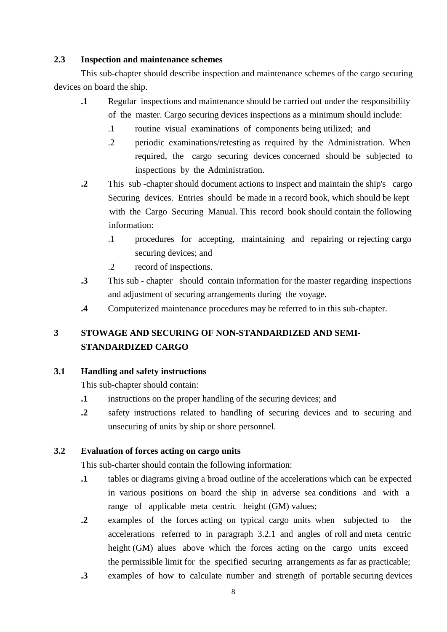#### **2.3 Inspection and maintenance schemes**

This sub-chapter should describe inspection and maintenance schemes of the cargo securing devices on board the ship.

- **1** Regular inspections and maintenance should be carried out under the responsibility of the master. Cargo securing devices inspections as a minimum should include:
	- .1 routine visual examinations of components being utilized; and
	- .2 periodic examinations/retesting as required by the Administration. When required, the cargo securing devices concerned should be subjected to inspections by the Administration.
- **.2** This sub -chapter should document actions to inspect and maintain the ship's cargo Securing devices. Entries should be made in a record book, which should be kept with the Cargo Securing Manual. This record book should contain the following information:
	- .1 procedures for accepting, maintaining and repairing or rejecting cargo securing devices; and
	- .2 record of inspections.
- **.3** This sub chapter should contain information for the master regarding inspections and adjustment of securing arrangements during the voyage.
- **.4** Computerized maintenance procedures may be referred to in this sub- chapter.

### **3 STOWAGE AND SECURING OF NON-STANDARDIZED AND SEMI-STANDARDIZED CARGO**

#### **3.1 Handling and safety instructions**

This sub-chapter should contain:

- **.1** instructions on the proper handling of the securing devices; and
- **.2** safety instructions related to handling of securing devices and to securing and unsecuring of units by ship or shore personnel.

#### **3.2 Evaluation of forces acting on cargo units**

This sub-charter should contain the following information:

- **.1** tables or diagrams giving a broad outline of the accelerations which can be expected in various positions on board the ship in adverse sea conditions and with a range of applicable meta centric height (GM) values;
- **.2** examples of the forces acting on typical cargo units when subjected to the accelerations referred to in paragraph 3.2.1 and angles of roll and meta centric height (GM) alues above which the forces acting on the cargo units exceed the permissible limit for the specified securing arrangements as far as practicable;
- **.3** examples of how to calculate number and strength of portable securing devices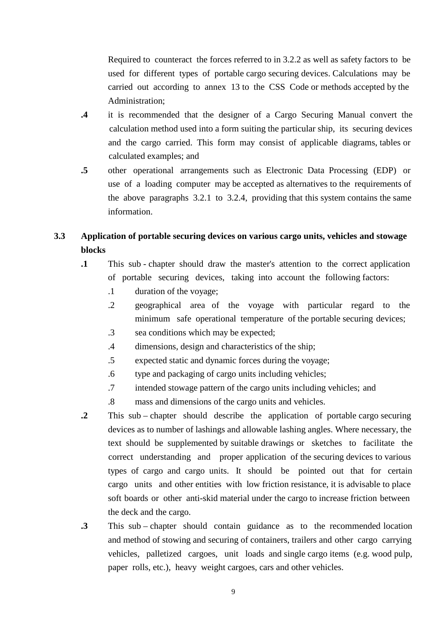Required to counteract the forces referred to in 3.2.2 as well as safety factors to be used for different types of portable cargo securing devices. Calculations may be carried out according to annex 13 to the CSS Code or methods accepted by the Administration;

- **.4** it is recommended that the designer of a Cargo Securing Manual convert the calculation method used into a form suiting the particular ship, its securing devices and the cargo carried. This form may consist of applicable diagrams, tables or calculated examples; and
- **.5** other operational arrangements such as Electronic Data Processing (EDP) or use of a loading computer may be accepted as alternatives to the requirements of the above paragraphs 3.2.1 to 3.2.4, providing that this system contains the same information.

#### **3.3 Application of portable securing devices on various cargo units, vehicles and stowage blocks**

- **.1** This sub chapter should draw the master's attention to the correct application of portable securing devices, taking into account the following factors:
	- .1 duration of the voyage;
	- .2 geographical area of the voyage with particular regard to the minimum safe operational temperature of the portable securing devices;
	- .3 sea conditions which may be expected;
	- .4 dimensions, design and characteristics of the ship;
	- .5 expected static and dynamic forces during the voyage;
	- .6 type and packaging of cargo units including vehicles;
	- .7 intended stowage pattern of the cargo units including vehicles; and
	- .8 mass and dimensions of the cargo units and vehicles.
- **.2** This sub chapter should describe the application of portable cargo securing devices as to number of lashings and allowable lashing angles. Where necessary, the text should be supplemented by suitable drawings or sketches to facilitate the correct understanding and proper application of the securing devices to various types of cargo and cargo units. It should be pointed out that for certain cargo units and other entities with low friction resistance, it is advisable to place soft boards or other anti-skid material under the cargo to increase friction between the deck and the cargo.
- **.3** This sub chapter should contain guidance as to the recommended location and method of stowing and securing of containers, trailers and other cargo carrying vehicles, palletized cargoes, unit loads and single cargo items (e.g. wood pulp, paper rolls, etc.), heavy weight cargoes, cars and other vehicles.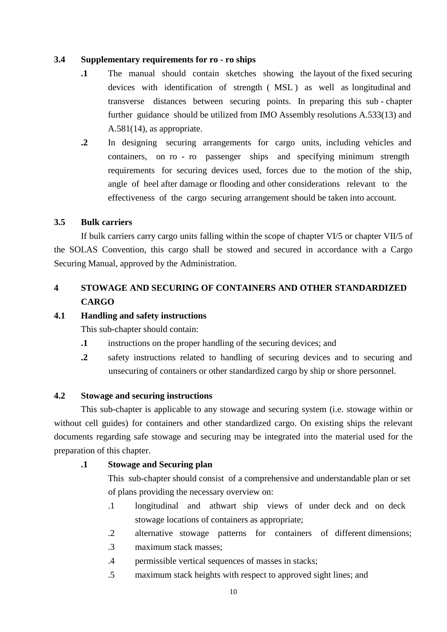#### **3.4 Supplementary requirements for ro - ro ships**

- **.1** The manual should contain sketches showing the layout of the fixed securing devices with identification of strength ( MSL ) as well as longitudinal and transverse distances between securing points. In preparing this sub - chapter further guidance should be utilized from IMO Assembly resolutions A.533(13) and A.581(14), as appropriate.
- **.2** In designing securing arrangements for cargo units, including vehicles and containers, on ro - ro passenger ships and specifying minimum strength requirements for securing devices used, forces due to the motion of the ship, angle of heel after damage or flooding and other considerations relevant to the effectiveness of the cargo securing arrangement should be taken into account.

#### **3.5 Bulk carriers**

If bulk carriers carry cargo units falling within the scope of chapter VI/5 or chapter VII/5 of the SOLAS Convention, this cargo shall be stowed and secured in accordance with a Cargo Securing Manual, approved by the Administration.

#### **4 STOWAGE AND SECURING OF CONTAINERS AND OTHER STANDARDIZED CARGO**

#### **4.1 Handling and safety instructions**

This sub-chapter should contain:

- **.1** instructions on the proper handling of the securing devices; and
- **.2** safety instructions related to handling of securing devices and to securing and unsecuring of containers or other standardized cargo by ship or shore personnel.

#### **4.2 Stowage and securing instructions**

This sub-chapter is applicable to any stowage and securing system (i.e. stowage within or without cell guides) for containers and other standardized cargo. On existing ships the relevant documents regarding safe stowage and securing may be integrated into the material used for the preparation of this chapter.

#### **.1 Stowage and Securing plan**

This sub-chapter should consist of a comprehensive and understandable plan or set of plans providing the necessary overview on:

- .1 longitudinal and athwart ship views of under deck and on deck stowage locations of containers as appropriate;
- .2 alternative stowage patterns for containers of different dimensions;
- .3 maximum stack masses;
- .4 permissible vertical sequences of masses in stacks;
- .5 maximum stack heights with respect to approved sight lines; and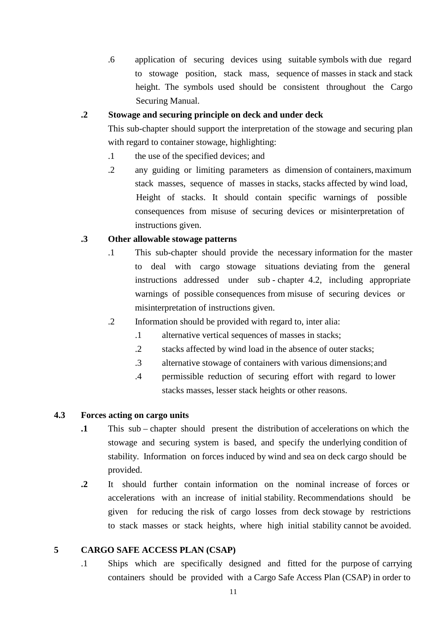.6 application of securing devices using suitable symbols with due regard to stowage position, stack mass, sequence of masses in stack and stack height. The symbols used should be consistent throughout the Cargo Securing Manual.

#### **.2 Stowage and securing principle on deck and under deck**

This sub-chapter should support the interpretation of the stowage and securing plan with regard to container stowage, highlighting:

- .1 the use of the specified devices; and
- .2 any guiding or limiting parameters as dimension of containers, maximum stack masses, sequence of masses in stacks, stacks affected by wind load, Height of stacks. It should contain specific warnings of possible consequences from misuse of securing devices or misinterpretation of instructions given.

#### **.3 Other allowable stowage patterns**

- .1 This sub-chapter should provide the necessary information for the master to deal with cargo stowage situations deviating from the general instructions addressed under sub - chapter 4.2, including appropriate warnings of possible consequences from misuse of securing devices or misinterpretation of instructions given.
- .2 Information should be provided with regard to, inter alia:
	- .1 alternative vertical sequences of masses in stacks;
	- .2 stacks affected by wind load in the absence of outer stacks;
	- .3 alternative stowage of containers with various dimensions; and
	- .4 permissible reduction of securing effort with regard to lower stacks masses, lesser stack heights or other reasons.

#### **4.3 Forces acting on cargo units**

- **.1** This sub chapter should present the distribution of accelerations on which the stowage and securing system is based, and specify the underlying condition of stability. Information on forces induced by wind and sea on deck cargo should be provided.
- **.2** It should further contain information on the nominal increase of forces or accelerations with an increase of initial stability. Recommendations should be given for reducing the risk of cargo losses from deck stowage by restrictions to stack masses or stack heights, where high initial stability cannot be avoided.

#### **5 CARGO SAFE ACCESS PLAN (CSAP)**

.1 Ships which are specifically designed and fitted for the purpose of carrying containers should be provided with a Cargo Safe Access Plan (CSAP) in order to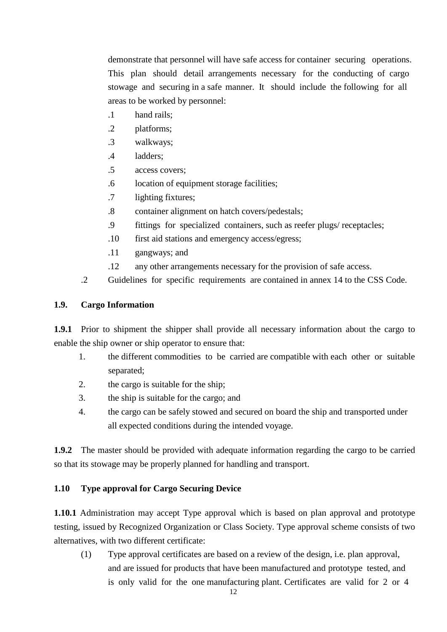demonstrate that personnel will have safe access for container securing operations. This plan should detail arrangements necessary for the conducting of cargo stowage and securing in a safe manner. It should include the following for all areas to be worked by personnel:

- .1 hand rails;
- .2 platforms;
- .3 walkways;
- .4 ladders;
- .5 access covers;
- .6 location of equipment storage facilities;
- .7 lighting fixtures;
- .8 container alignment on hatch covers/pedestals;
- .9 fittings for specialized containers, such as reefer plugs/ receptacles;
- .10 first aid stations and emergency access/egress;
- .11 gangways; and
- .12 any other arrangements necessary for the provision of safe access.
- .2 Guidelines for specific requirements are contained in annex 14 to the CSS Code.

#### **1.9. Cargo Information**

**1.9.1** Prior to shipment the shipper shall provide all necessary information about the cargo to enable the ship owner or ship operator to ensure that:

- 1. the different commodities to be carried are compatible with each other or suitable separated;
- 2. the cargo is suitable for the ship;
- 3. the ship is suitable for the cargo; and
- 4. the cargo can be safely stowed and secured on board the ship and transported under all expected conditions during the intended voyage.

**1.9.2** The master should be provided with adequate information regarding the cargo to be carried so that its stowage may be properly planned for handling and transport.

#### **1.10 Type approval for Cargo Securing Device**

**1.10.1** Administration may accept Type approval which is based on plan approval and prototype testing, issued by Recognized Organization or Class Society. Type approval scheme consists of two alternatives, with two different certificate:

(1) Type approval certificates are based on a review of the design, i.e. plan approval, and are issued for products that have been manufactured and prototype tested, and is only valid for the one manufacturing plant. Certificates are valid for 2 or 4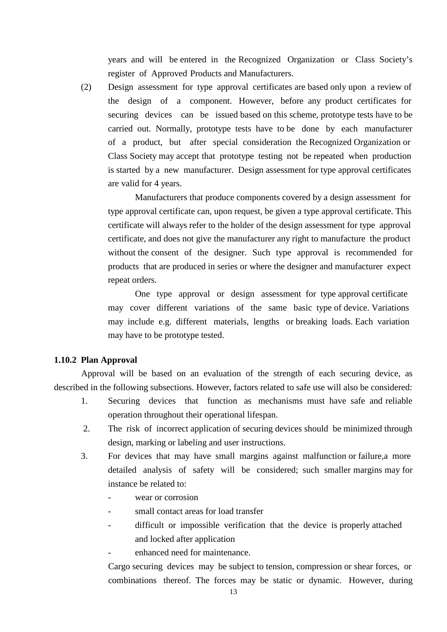years and will be entered in the Recognized Organization or Class Society's register of Approved Products and Manufacturers.

(2) Design assessment for type approval certificates are based only upon a review of the design of a component. However, before any product certificates for securing devices can be issued based on this scheme, prototype tests have to be carried out. Normally, prototype tests have to be done by each manufacturer of a product, but after special consideration the Recognized Organization or Class Society may accept that prototype testing not be repeated when production is started by a new manufacturer. Design assessment for type approval certificates are valid for 4 years.

Manufacturers that produce components covered by a design assessment for type approval certificate can, upon request, be given a type approval certificate. This certificate will always refer to the holder of the design assessment for type approval certificate, and does not give the manufacturer any right to manufacture the product without the consent of the designer. Such type approval is recommended for products that are produced in series or where the designer and manufacturer expect repeat orders.

One type approval or design assessment for type approval certificate may cover different variations of the same basic type of device. Variations may include e.g. different materials, lengths or breaking loads. Each variation may have to be prototype tested.

#### **1.10.2 Plan Approval**

Approval will be based on an evaluation of the strength of each securing device, as described in the following subsections. However, factors related to safe use will also be considered:

- 1. Securing devices that function as mechanisms must have safe and reliable operation throughout their operational lifespan.
- 2. The risk of incorrect application of securing devices should be minimized through design, marking or labeling and user instructions.
- 3. For devices that may have small margins against malfunction or failure,a more detailed analysis of safety will be considered; such smaller margins may for instance be related to:
	- wear or corrosion
	- small contact areas for load transfer
	- difficult or impossible verification that the device is properly attached and locked after application
		- enhanced need for maintenance.

Cargo securing devices may be subject to tension, compression or shear forces, or combinations thereof. The forces may be static or dynamic. However, during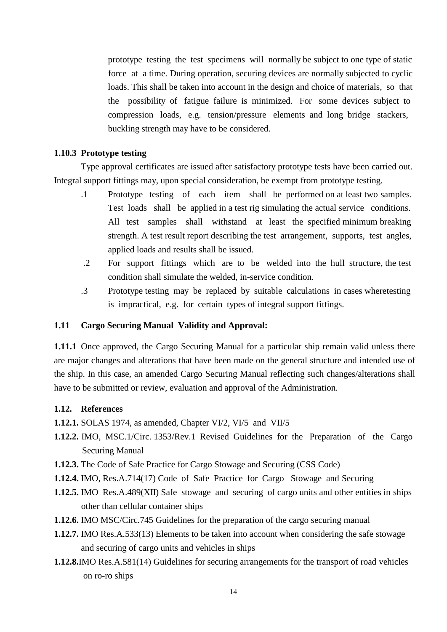prototype testing the test specimens will normally be subject to one type of static force at a time. During operation, securing devices are normally subjected to cyclic loads. This shall be taken into account in the design and choice of materials, so that the possibility of fatigue failure is minimized. For some devices subject to compression loads, e.g. tension/pressure elements and long bridge stackers, buckling strength may have to be considered.

#### **1.10.3 Prototype testing**

Type approval certificates are issued after satisfactory prototype tests have been carried out. Integral support fittings may, upon special consideration, be exempt from prototype testing.

- .1 Prototype testing of each item shall be performed on at least two samples. Test loads shall be applied in a test rig simulating the actual service conditions. All test samples shall withstand at least the specified minimum breaking strength. A test result report describing the test arrangement, supports, test angles, applied loads and results shall be issued.
- .2 For support fittings which are to be welded into the hull structure, the test condition shall simulate the welded, in-service condition.
- .3 Prototype testing may be replaced by suitable calculations in cases wheretesting is impractical, e.g. for certain types of integral support fittings.

#### **1.11 Cargo Securing Manual Validity and Approval:**

**1.11.1** Once approved, the Cargo Securing Manual for a particular ship remain valid unless there are major changes and alterations that have been made on the general structure and intended use of the ship. In this case, an amended Cargo Securing Manual reflecting such changes/alterations shall have to be submitted or review, evaluation and approval of the Administration.

#### **1.12. References**

- **1.12.1.** SOLAS 1974, as amended, Chapter VI/2, VI/5 and VII/5
- **1.12.2.** IMO, MSC.1/Circ. 1353/Rev.1 Revised Guidelines for the Preparation of the Cargo Securing Manual
- **1.12.3.** The Code of Safe Practice for Cargo Stowage and Securing (CSS Code)
- **1.12.4.** IMO, Res.A.714(17) Code of Safe Practice for Cargo Stowage and Securing
- **1.12.5.** IMO Res.A.489(XII) Safe stowage and securing of cargo units and other entities in ships other than cellular container ships
- **1.12.6.** IMO MSC/Circ.745 Guidelines for the preparation of the cargo securing manual
- **1.12.7.** IMO Res.A.533(13) Elements to be taken into account when considering the safe stowage and securing of cargo units and vehicles in ships
- **1.12.8.**IMO Res.A.581(14) Guidelines for securing arrangements for the transport of road vehicles on ro-ro ships